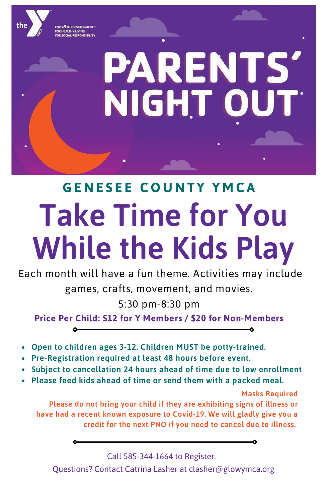# **Take Time for You While the Kids Play G E N E S E E C O U N T Y Y M C A**

**PARENTS'** 

NIGHT OUT

Each month will have a fun theme. Activities may include games, crafts, movement, and movies.

5:30 pm-8:30 pm

**Price Per Child: \$12 for Y Members / \$20 for Non-Members**

- **Open to children ages 3-12. Children MUST be potty-trained.**
- **Pre-Registration required at least 48 hours before event.**
- **Subject to cancellation 24 hours ahead of time due to low enrollment**
- **Please feed kids ahead of time or send them with a packed meal.**

**Masks Required Please do not bring your child if they are exhibiting signs of illness or have had a recent known exposure to Covid-19. We will gladly give you a credit for the next PNO if you need to cancel due to illness.**

Call 585-344-1664 to Register.

Questions? Contact Catrina Lasher at clasher@glowymca.org